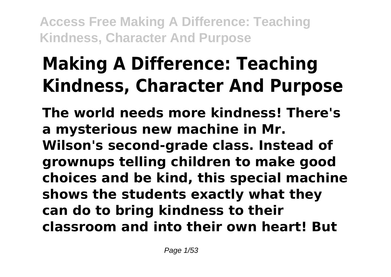# **Making A Difference: Teaching Kindness, Character And Purpose**

**The world needs more kindness! There's a mysterious new machine in Mr. Wilson's second-grade class. Instead of grownups telling children to make good choices and be kind, this special machine shows the students exactly what they can do to bring kindness to their classroom and into their own heart! But**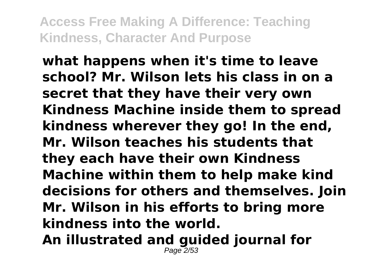**what happens when it's time to leave school? Mr. Wilson lets his class in on a secret that they have their very own Kindness Machine inside them to spread kindness wherever they go! In the end, Mr. Wilson teaches his students that they each have their own Kindness Machine within them to help make kind decisions for others and themselves. Join Mr. Wilson in his efforts to bring more kindness into the world. An illustrated and guided journal for** Page 2/53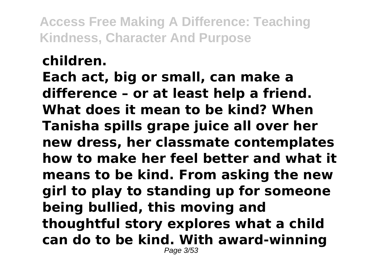# **children.**

**Each act, big or small, can make a difference – or at least help a friend. What does it mean to be kind? When Tanisha spills grape juice all over her new dress, her classmate contemplates how to make her feel better and what it means to be kind. From asking the new girl to play to standing up for someone being bullied, this moving and thoughtful story explores what a child can do to be kind. With award-winning** Page 3/53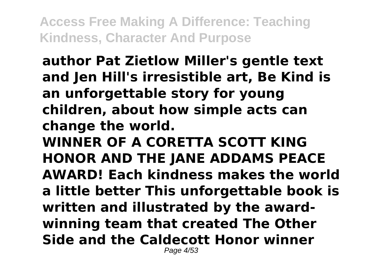**author Pat Zietlow Miller's gentle text and Jen Hill's irresistible art, Be Kind is an unforgettable story for young children, about how simple acts can change the world. WINNER OF A CORETTA SCOTT KING HONOR AND THE JANE ADDAMS PEACE AWARD! Each kindness makes the world a little better This unforgettable book is written and illustrated by the awardwinning team that created The Other Side and the Caldecott Honor winner** Page 4/53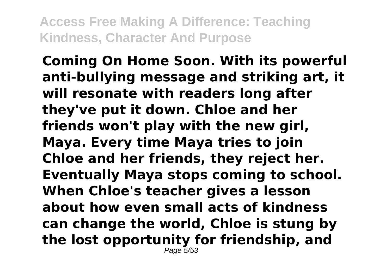**Coming On Home Soon. With its powerful anti-bullying message and striking art, it will resonate with readers long after they've put it down. Chloe and her friends won't play with the new girl, Maya. Every time Maya tries to join Chloe and her friends, they reject her. Eventually Maya stops coming to school. When Chloe's teacher gives a lesson about how even small acts of kindness can change the world, Chloe is stung by the lost opportunity for friendship, and** Page 5/53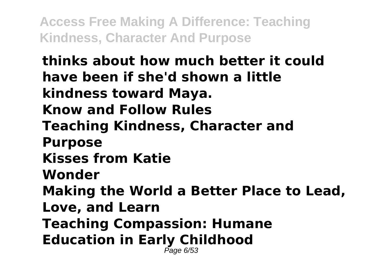**thinks about how much better it could have been if she'd shown a little kindness toward Maya. Know and Follow Rules Teaching Kindness, Character and Purpose Kisses from Katie Wonder Making the World a Better Place to Lead, Love, and Learn Teaching Compassion: Humane Education in Early Childhood** Page 6/53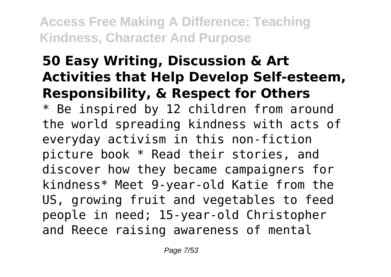# **50 Easy Writing, Discussion & Art Activities that Help Develop Self-esteem, Responsibility, & Respect for Others**

\* Be inspired by 12 children from around the world spreading kindness with acts of everyday activism in this non-fiction picture book \* Read their stories, and discover how they became campaigners for kindness\* Meet 9-year-old Katie from the US, growing fruit and vegetables to feed people in need; 15-year-old Christopher and Reece raising awareness of mental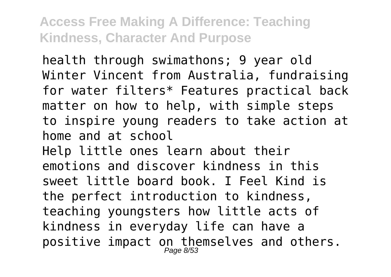health through swimathons; 9 year old Winter Vincent from Australia, fundraising for water filters\* Features practical back matter on how to help, with simple steps to inspire young readers to take action at home and at school Help little ones learn about their emotions and discover kindness in this sweet little board book. I Feel Kind is

the perfect introduction to kindness, teaching youngsters how little acts of kindness in everyday life can have a positive impact on themselves and others.<br> $_{Page\ 8/53}^{P_{\text{age 8/53}}}$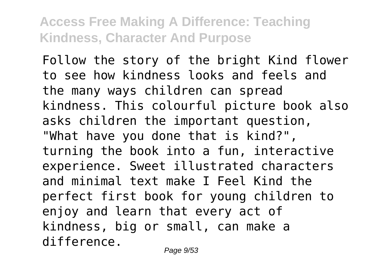Follow the story of the bright Kind flower to see how kindness looks and feels and the many ways children can spread kindness. This colourful picture book also asks children the important question, "What have you done that is kind?", turning the book into a fun, interactive experience. Sweet illustrated characters and minimal text make I Feel Kind the perfect first book for young children to enjoy and learn that every act of kindness, big or small, can make a difference.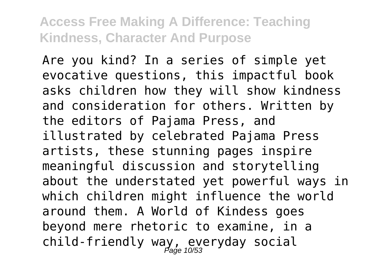Are you kind? In a series of simple yet evocative questions, this impactful book asks children how they will show kindness and consideration for others. Written by the editors of Pajama Press, and illustrated by celebrated Pajama Press artists, these stunning pages inspire meaningful discussion and storytelling about the understated yet powerful ways in which children might influence the world around them. A World of Kindess goes beyond mere rhetoric to examine, in a child-friendly way, everyday social Page 10/53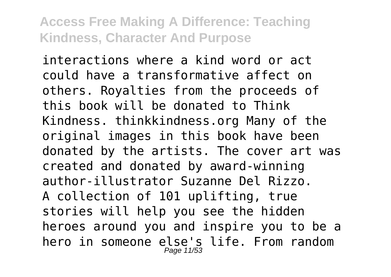interactions where a kind word or act could have a transformative affect on others. Royalties from the proceeds of this book will be donated to Think Kindness. thinkkindness.org Many of the original images in this book have been donated by the artists. The cover art was created and donated by award-winning author-illustrator Suzanne Del Rizzo. A collection of 101 uplifting, true stories will help you see the hidden heroes around you and inspire you to be a hero in someone else's life. From random Page 11/53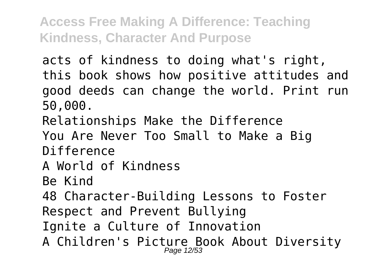acts of kindness to doing what's right, this book shows how positive attitudes and good deeds can change the world. Print run 50,000.

Relationships Make the Difference

You Are Never Too Small to Make a Big

Difference

### A World of Kindness

Be Kind

48 Character-Building Lessons to Foster Respect and Prevent Bullying

Ignite a Culture of Innovation

A Children's Picture Book About Diversity<br>Page 12/53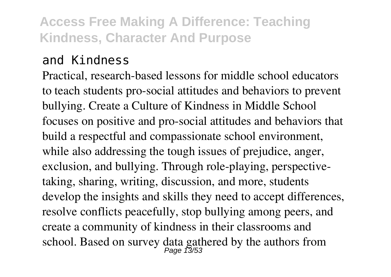#### and Kindness

Practical, research-based lessons for middle school educators to teach students pro-social attitudes and behaviors to prevent bullying. Create a Culture of Kindness in Middle School focuses on positive and pro-social attitudes and behaviors that build a respectful and compassionate school environment, while also addressing the tough issues of prejudice, anger, exclusion, and bullying. Through role-playing, perspectivetaking, sharing, writing, discussion, and more, students develop the insights and skills they need to accept differences, resolve conflicts peacefully, stop bullying among peers, and create a community of kindness in their classrooms and school. Based on survey data gathered by the authors from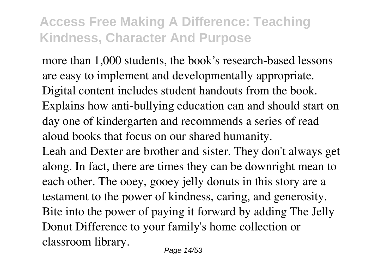more than 1,000 students, the book's research-based lessons are easy to implement and developmentally appropriate. Digital content includes student handouts from the book. Explains how anti-bullying education can and should start on day one of kindergarten and recommends a series of read aloud books that focus on our shared humanity. Leah and Dexter are brother and sister. They don't always get along. In fact, there are times they can be downright mean to each other. The ooey, gooey jelly donuts in this story are a testament to the power of kindness, caring, and generosity. Bite into the power of paying it forward by adding The Jelly Donut Difference to your family's home collection or classroom library.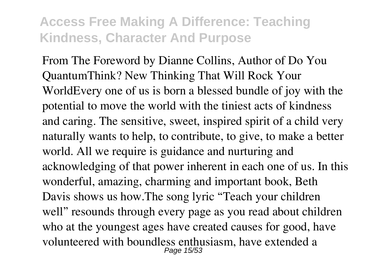From The Foreword by Dianne Collins, Author of Do You QuantumThink? New Thinking That Will Rock Your WorldEvery one of us is born a blessed bundle of joy with the potential to move the world with the tiniest acts of kindness and caring. The sensitive, sweet, inspired spirit of a child very naturally wants to help, to contribute, to give, to make a better world. All we require is guidance and nurturing and acknowledging of that power inherent in each one of us. In this wonderful, amazing, charming and important book, Beth Davis shows us how.The song lyric "Teach your children well" resounds through every page as you read about children who at the youngest ages have created causes for good, have volunteered with boundless enthusiasm, have extended a Page 15/53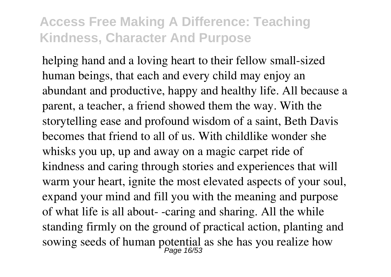helping hand and a loving heart to their fellow small-sized human beings, that each and every child may enjoy an abundant and productive, happy and healthy life. All because a parent, a teacher, a friend showed them the way. With the storytelling ease and profound wisdom of a saint, Beth Davis becomes that friend to all of us. With childlike wonder she whisks you up, up and away on a magic carpet ride of kindness and caring through stories and experiences that will warm your heart, ignite the most elevated aspects of your soul, expand your mind and fill you with the meaning and purpose of what life is all about- -caring and sharing. All the while standing firmly on the ground of practical action, planting and sowing seeds of human potential as she has you realize how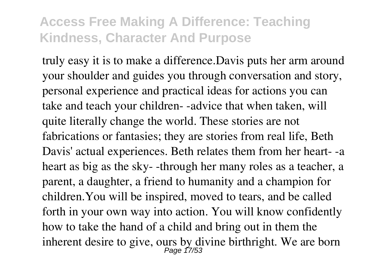truly easy it is to make a difference.Davis puts her arm around your shoulder and guides you through conversation and story, personal experience and practical ideas for actions you can take and teach your children- -advice that when taken, will quite literally change the world. These stories are not fabrications or fantasies; they are stories from real life, Beth Davis' actual experiences. Beth relates them from her heart- -a heart as big as the sky- -through her many roles as a teacher, a parent, a daughter, a friend to humanity and a champion for children.You will be inspired, moved to tears, and be called forth in your own way into action. You will know confidently how to take the hand of a child and bring out in them the inherent desire to give, ours by divine birthright. We are born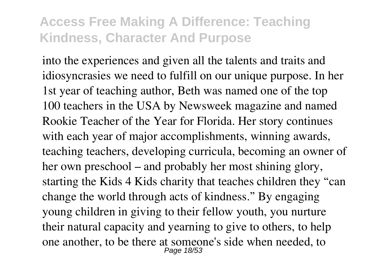into the experiences and given all the talents and traits and idiosyncrasies we need to fulfill on our unique purpose. In her 1st year of teaching author, Beth was named one of the top 100 teachers in the USA by Newsweek magazine and named Rookie Teacher of the Year for Florida. Her story continues with each year of major accomplishments, winning awards, teaching teachers, developing curricula, becoming an owner of her own preschool – and probably her most shining glory, starting the Kids 4 Kids charity that teaches children they "can change the world through acts of kindness." By engaging young children in giving to their fellow youth, you nurture their natural capacity and yearning to give to others, to help one another, to be there at someone's side when needed, to Page 18/53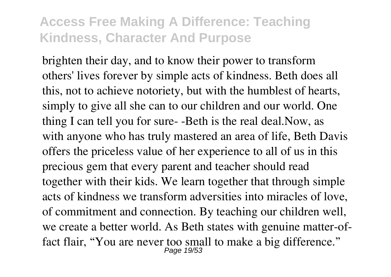brighten their day, and to know their power to transform others' lives forever by simple acts of kindness. Beth does all this, not to achieve notoriety, but with the humblest of hearts, simply to give all she can to our children and our world. One thing I can tell you for sure- -Beth is the real deal.Now, as with anyone who has truly mastered an area of life, Beth Davis offers the priceless value of her experience to all of us in this precious gem that every parent and teacher should read together with their kids. We learn together that through simple acts of kindness we transform adversities into miracles of love, of commitment and connection. By teaching our children well, we create a better world. As Beth states with genuine matter-offact flair, "You are never too small to make a big difference." Page 19/53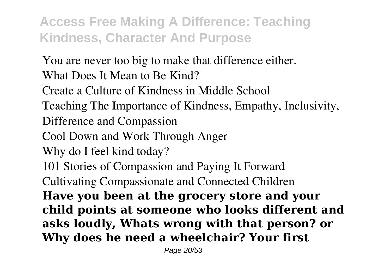You are never too big to make that difference either. What Does It Mean to Be Kind?

Create a Culture of Kindness in Middle School

Teaching The Importance of Kindness, Empathy, Inclusivity,

Difference and Compassion

Cool Down and Work Through Anger

Why do I feel kind today?

101 Stories of Compassion and Paying It Forward

Cultivating Compassionate and Connected Children

**Have you been at the grocery store and your child points at someone who looks different and asks loudly, Whats wrong with that person? or Why does he need a wheelchair? Your first**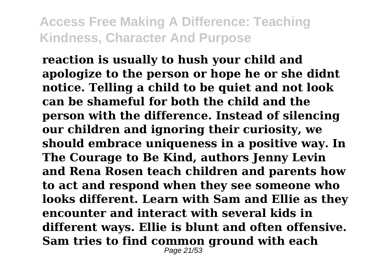**reaction is usually to hush your child and apologize to the person or hope he or she didnt notice. Telling a child to be quiet and not look can be shameful for both the child and the person with the difference. Instead of silencing our children and ignoring their curiosity, we should embrace uniqueness in a positive way. In The Courage to Be Kind, authors Jenny Levin and Rena Rosen teach children and parents how to act and respond when they see someone who looks different. Learn with Sam and Ellie as they encounter and interact with several kids in different ways. Ellie is blunt and often offensive. Sam tries to find common ground with each** Page 21/53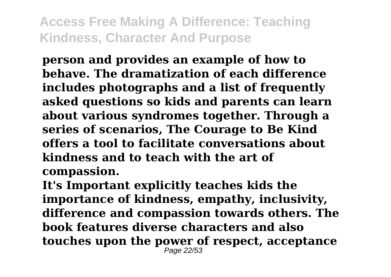**person and provides an example of how to behave. The dramatization of each difference includes photographs and a list of frequently asked questions so kids and parents can learn about various syndromes together. Through a series of scenarios, The Courage to Be Kind offers a tool to facilitate conversations about kindness and to teach with the art of compassion.**

**It's Important explicitly teaches kids the importance of kindness, empathy, inclusivity, difference and compassion towards others. The book features diverse characters and also touches upon the power of respect, acceptance** Page 22/53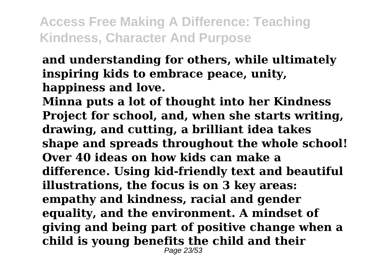**and understanding for others, while ultimately inspiring kids to embrace peace, unity, happiness and love.**

**Minna puts a lot of thought into her Kindness Project for school, and, when she starts writing, drawing, and cutting, a brilliant idea takes shape and spreads throughout the whole school! Over 40 ideas on how kids can make a difference. Using kid-friendly text and beautiful illustrations, the focus is on 3 key areas: empathy and kindness, racial and gender equality, and the environment. A mindset of giving and being part of positive change when a child is young benefits the child and their** Page 23/53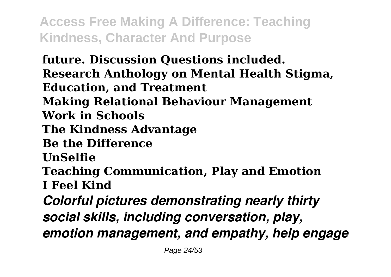**future. Discussion Questions included. Research Anthology on Mental Health Stigma, Education, and Treatment Making Relational Behaviour Management Work in Schools The Kindness Advantage Be the Difference UnSelfie Teaching Communication, Play and Emotion I Feel Kind** *Colorful pictures demonstrating nearly thirty social skills, including conversation, play, emotion management, and empathy, help engage*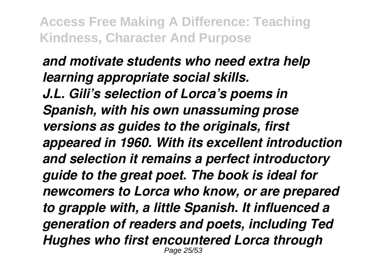### *and motivate students who need extra help learning appropriate social skills. J.L. Gili's selection of Lorca's poems in Spanish, with his own unassuming prose versions as guides to the originals, first appeared in 1960. With its excellent introduction and selection it remains a perfect introductory guide to the great poet. The book is ideal for newcomers to Lorca who know, or are prepared to grapple with, a little Spanish. It influenced a generation of readers and poets, including Ted Hughes who first encountered Lorca through* Page 25/53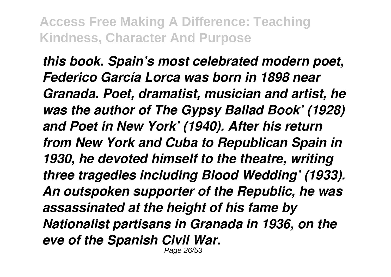*this book. Spain's most celebrated modern poet, Federico García Lorca was born in 1898 near Granada. Poet, dramatist, musician and artist, he was the author of The Gypsy Ballad Book' (1928) and Poet in New York' (1940). After his return from New York and Cuba to Republican Spain in 1930, he devoted himself to the theatre, writing three tragedies including Blood Wedding' (1933). An outspoken supporter of the Republic, he was assassinated at the height of his fame by Nationalist partisans in Granada in 1936, on the eve of the Spanish Civil War.*

Page 26/53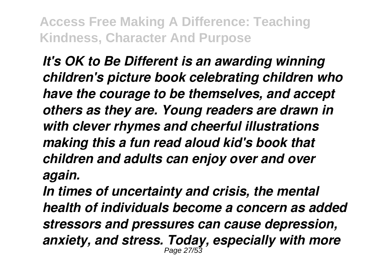*It's OK to Be Different is an awarding winning children's picture book celebrating children who have the courage to be themselves, and accept others as they are. Young readers are drawn in with clever rhymes and cheerful illustrations making this a fun read aloud kid's book that children and adults can enjoy over and over again.*

*In times of uncertainty and crisis, the mental health of individuals become a concern as added stressors and pressures can cause depression, anxiety, and stress. Today, especially with more* Page 27/53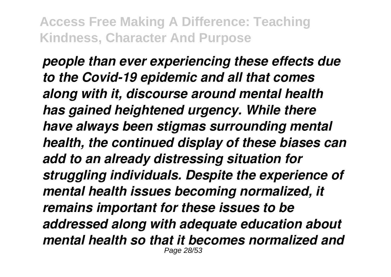*people than ever experiencing these effects due to the Covid-19 epidemic and all that comes along with it, discourse around mental health has gained heightened urgency. While there have always been stigmas surrounding mental health, the continued display of these biases can add to an already distressing situation for struggling individuals. Despite the experience of mental health issues becoming normalized, it remains important for these issues to be addressed along with adequate education about mental health so that it becomes normalized and* Page 28/53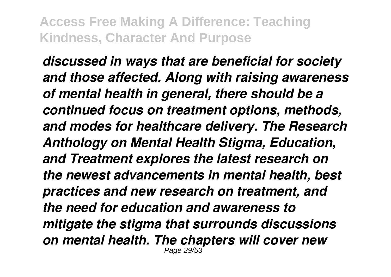*discussed in ways that are beneficial for society and those affected. Along with raising awareness of mental health in general, there should be a continued focus on treatment options, methods, and modes for healthcare delivery. The Research Anthology on Mental Health Stigma, Education, and Treatment explores the latest research on the newest advancements in mental health, best practices and new research on treatment, and the need for education and awareness to mitigate the stigma that surrounds discussions on mental health. The chapters will cover new* Page 29/53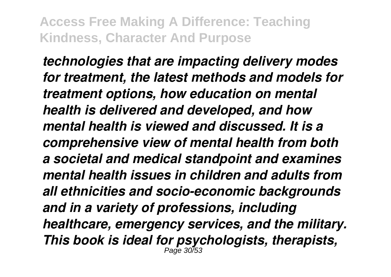*technologies that are impacting delivery modes for treatment, the latest methods and models for treatment options, how education on mental health is delivered and developed, and how mental health is viewed and discussed. It is a comprehensive view of mental health from both a societal and medical standpoint and examines mental health issues in children and adults from all ethnicities and socio-economic backgrounds and in a variety of professions, including healthcare, emergency services, and the military. This book is ideal for psychologists, therapists,* Page 30/53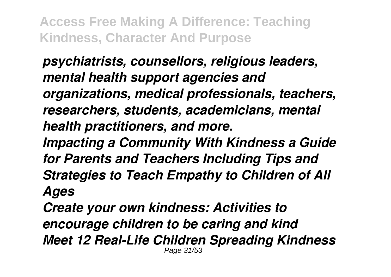*psychiatrists, counsellors, religious leaders, mental health support agencies and organizations, medical professionals, teachers, researchers, students, academicians, mental health practitioners, and more.*

*Impacting a Community With Kindness a Guide for Parents and Teachers Including Tips and Strategies to Teach Empathy to Children of All Ages*

*Create your own kindness: Activities to encourage children to be caring and kind Meet 12 Real-Life Children Spreading Kindness* Page 31/53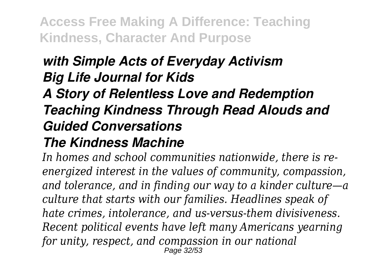### *with Simple Acts of Everyday Activism Big Life Journal for Kids*

# *A Story of Relentless Love and Redemption Teaching Kindness Through Read Alouds and Guided Conversations*

### *The Kindness Machine*

*In homes and school communities nationwide, there is reenergized interest in the values of community, compassion, and tolerance, and in finding our way to a kinder culture—a culture that starts with our families. Headlines speak of hate crimes, intolerance, and us-versus-them divisiveness. Recent political events have left many Americans yearning for unity, respect, and compassion in our national* Page 32/53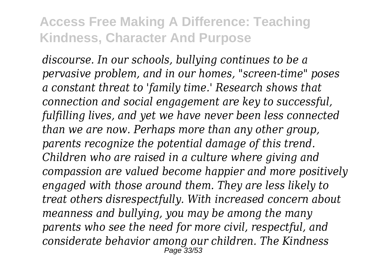*discourse. In our schools, bullying continues to be a pervasive problem, and in our homes, "screen-time" poses a constant threat to 'family time.' Research shows that connection and social engagement are key to successful, fulfilling lives, and yet we have never been less connected than we are now. Perhaps more than any other group, parents recognize the potential damage of this trend. Children who are raised in a culture where giving and compassion are valued become happier and more positively engaged with those around them. They are less likely to treat others disrespectfully. With increased concern about meanness and bullying, you may be among the many parents who see the need for more civil, respectful, and considerate behavior among our children. The Kindness* Page 33/53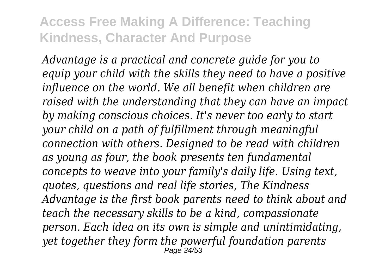*Advantage is a practical and concrete guide for you to equip your child with the skills they need to have a positive influence on the world. We all benefit when children are raised with the understanding that they can have an impact by making conscious choices. It's never too early to start your child on a path of fulfillment through meaningful connection with others. Designed to be read with children as young as four, the book presents ten fundamental concepts to weave into your family's daily life. Using text, quotes, questions and real life stories, The Kindness Advantage is the first book parents need to think about and teach the necessary skills to be a kind, compassionate person. Each idea on its own is simple and unintimidating, yet together they form the powerful foundation parents* Page 34/53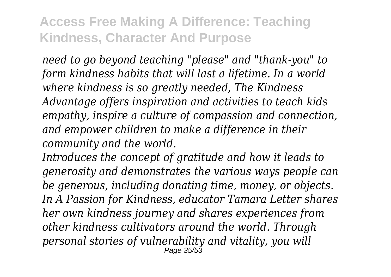*need to go beyond teaching "please" and "thank-you" to form kindness habits that will last a lifetime. In a world where kindness is so greatly needed, The Kindness Advantage offers inspiration and activities to teach kids empathy, inspire a culture of compassion and connection, and empower children to make a difference in their community and the world.*

*Introduces the concept of gratitude and how it leads to generosity and demonstrates the various ways people can be generous, including donating time, money, or objects. In A Passion for Kindness, educator Tamara Letter shares her own kindness journey and shares experiences from other kindness cultivators around the world. Through personal stories of vulnerability and vitality, you will* Page 35/53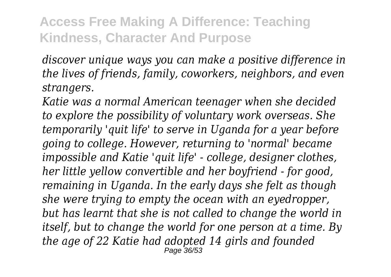*discover unique ways you can make a positive difference in the lives of friends, family, coworkers, neighbors, and even strangers.*

*Katie was a normal American teenager when she decided to explore the possibility of voluntary work overseas. She temporarily 'quit life' to serve in Uganda for a year before going to college. However, returning to 'normal' became impossible and Katie 'quit life' - college, designer clothes, her little yellow convertible and her boyfriend - for good, remaining in Uganda. In the early days she felt as though she were trying to empty the ocean with an eyedropper, but has learnt that she is not called to change the world in itself, but to change the world for one person at a time. By the age of 22 Katie had adopted 14 girls and founded* Page 36/53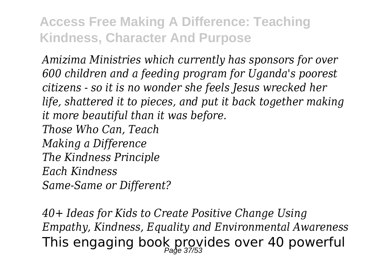*Amizima Ministries which currently has sponsors for over 600 children and a feeding program for Uganda's poorest citizens - so it is no wonder she feels Jesus wrecked her life, shattered it to pieces, and put it back together making it more beautiful than it was before. Those Who Can, Teach Making a Difference The Kindness Principle*

*Each Kindness*

*Same-Same or Different?*

*40+ Ideas for Kids to Create Positive Change Using Empathy, Kindness, Equality and Environmental Awareness* This engaging book provides over 40 powerful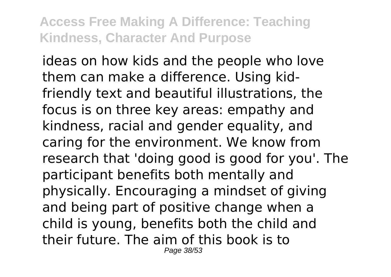ideas on how kids and the people who love them can make a difference. Using kidfriendly text and beautiful illustrations, the focus is on three key areas: empathy and kindness, racial and gender equality, and caring for the environment. We know from research that 'doing good is good for you'. The participant benefits both mentally and physically. Encouraging a mindset of giving and being part of positive change when a child is young, benefits both the child and their future. The aim of this book is to Page 38/53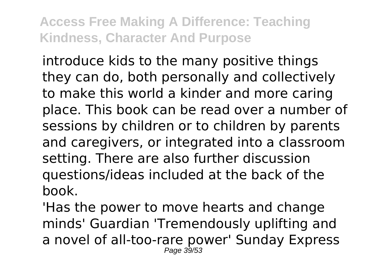introduce kids to the many positive things they can do, both personally and collectively to make this world a kinder and more caring place. This book can be read over a number of sessions by children or to children by parents and caregivers, or integrated into a classroom setting. There are also further discussion questions/ideas included at the back of the book.

'Has the power to move hearts and change minds' Guardian 'Tremendously uplifting and a novel of all-too-rare power' Sunday Express Page 39/53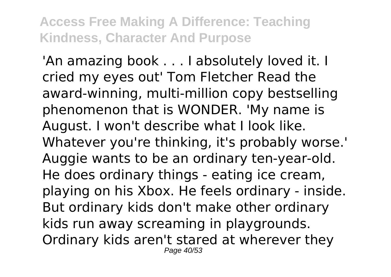'An amazing book . . . I absolutely loved it. I cried my eyes out' Tom Fletcher Read the award-winning, multi-million copy bestselling phenomenon that is WONDER. 'My name is August. I won't describe what I look like. Whatever you're thinking, it's probably worse.' Auggie wants to be an ordinary ten-year-old. He does ordinary things - eating ice cream, playing on his Xbox. He feels ordinary - inside. But ordinary kids don't make other ordinary kids run away screaming in playgrounds. Ordinary kids aren't stared at wherever they Page 40/53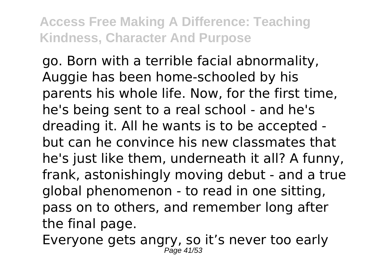go. Born with a terrible facial abnormality, Auggie has been home-schooled by his parents his whole life. Now, for the first time, he's being sent to a real school - and he's dreading it. All he wants is to be accepted but can he convince his new classmates that he's just like them, underneath it all? A funny, frank, astonishingly moving debut - and a true global phenomenon - to read in one sitting, pass on to others, and remember long after the final page.

Everyone gets angry, so it's never too early Page 41/53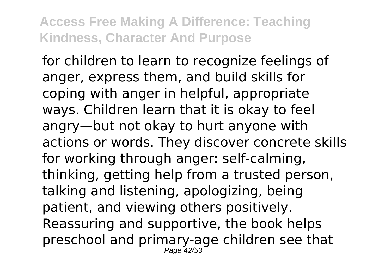for children to learn to recognize feelings of anger, express them, and build skills for coping with anger in helpful, appropriate ways. Children learn that it is okay to feel angry—but not okay to hurt anyone with actions or words. They discover concrete skills for working through anger: self-calming, thinking, getting help from a trusted person, talking and listening, apologizing, being patient, and viewing others positively. Reassuring and supportive, the book helps preschool and primary-age children see that Page 42/53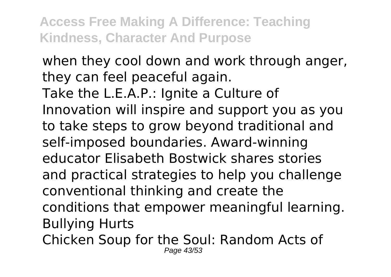when they cool down and work through anger, they can feel peaceful again. Take the L.E.A.P.: Ignite a Culture of Innovation will inspire and support you as you to take steps to grow beyond traditional and self-imposed boundaries. Award-winning educator Elisabeth Bostwick shares stories and practical strategies to help you challenge conventional thinking and create the conditions that empower meaningful learning. Bullying Hurts

Chicken Soup for the Soul: Random Acts of Page 43/53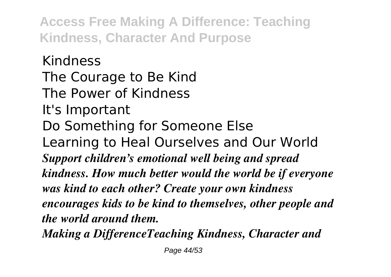Kindness The Courage to Be Kind The Power of Kindness It's Important Do Something for Someone Else Learning to Heal Ourselves and Our World *Support children's emotional well being and spread kindness. How much better would the world be if everyone was kind to each other? Create your own kindness encourages kids to be kind to themselves, other people and the world around them.*

*Making a DifferenceTeaching Kindness, Character and*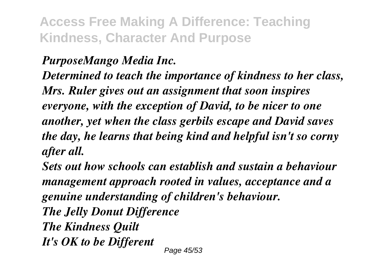### *PurposeMango Media Inc.*

*Determined to teach the importance of kindness to her class, Mrs. Ruler gives out an assignment that soon inspires everyone, with the exception of David, to be nicer to one another, yet when the class gerbils escape and David saves the day, he learns that being kind and helpful isn't so corny after all.*

*Sets out how schools can establish and sustain a behaviour management approach rooted in values, acceptance and a genuine understanding of children's behaviour. The Jelly Donut Difference The Kindness Quilt It's OK to be Different* Page 45/53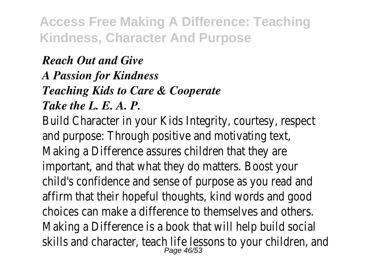### *Reach Out and Give A Passion for Kindness Teaching Kids to Care & Cooperate Take the L. E. A. P.*

Build Character in your Kids Integrity, courtesy, respect and purpose: Through positive and motivating text, Making a Difference assures children that they are important, and that what they do matters. Boost your child's confidence and sense of purpose as you read and affirm that their hopeful thoughts, kind words and good choices can make a difference to themselves and others. Making a Difference is a book that will help build social skills and character, teach life lessons to your children, and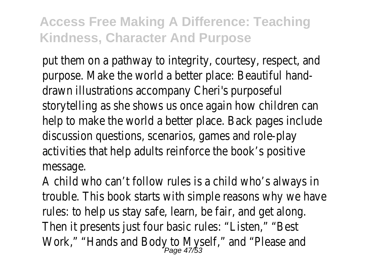put them on a pathway to integrity, courtesy, respect, and purpose. Make the world a better place: Beautiful handdrawn illustrations accompany Cheri's purposeful storytelling as she shows us once again how children can help to make the world a better place. Back pages include discussion questions, scenarios, games and role-play activities that help adults reinforce the book's positive message.

A child who can't follow rules is a child who's always in trouble. This book starts with simple reasons why we have rules: to help us stay safe, learn, be fair, and get along. Then it presents just four basic rules: "Listen," "Best Work," "Hands and Body to Myself," and "Please and<br>Page 47/53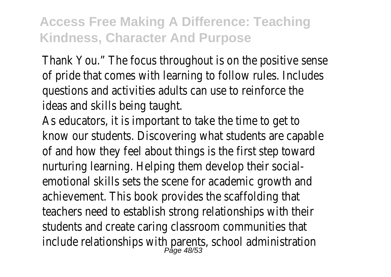Thank You." The focus throughout is on the positive sense of pride that comes with learning to follow rules. Includes questions and activities adults can use to reinforce the ideas and skills being taught.

As educators, it is important to take the time to get to know our students. Discovering what students are capable of and how they feel about things is the first step toward nurturing learning. Helping them develop their socialemotional skills sets the scene for academic growth and achievement. This book provides the scaffolding that teachers need to establish strong relationships with their students and create caring classroom communities that include relationships with parents, school administration Page 48/53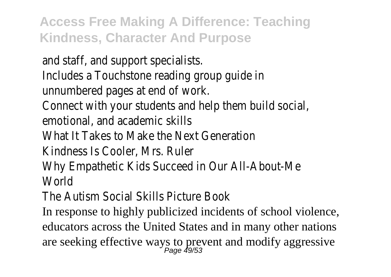and staff, and support specialists. Includes a Touchstone reading group guide in unnumbered pages at end of work. Connect with your students and help them build social, emotional, and academic skills What It Takes to Make the Next Generation Kindness Is Cooler, Mrs. Ruler Why Empathetic Kids Succeed in Our All-About-Me **World** 

The Autism Social Skills Picture Book

In response to highly publicized incidents of school violence, educators across the United States and in many other nations are seeking effective ways to prevent and modify aggressive<br> $P_{\text{age}}$  49/53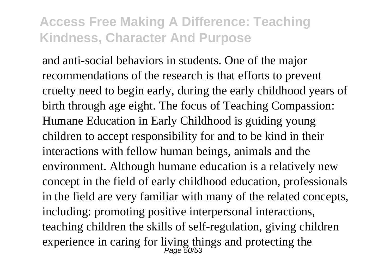and anti-social behaviors in students. One of the major recommendations of the research is that efforts to prevent cruelty need to begin early, during the early childhood years of birth through age eight. The focus of Teaching Compassion: Humane Education in Early Childhood is guiding young children to accept responsibility for and to be kind in their interactions with fellow human beings, animals and the environment. Although humane education is a relatively new concept in the field of early childhood education, professionals in the field are very familiar with many of the related concepts, including: promoting positive interpersonal interactions, teaching children the skills of self-regulation, giving children experience in caring for living things and protecting the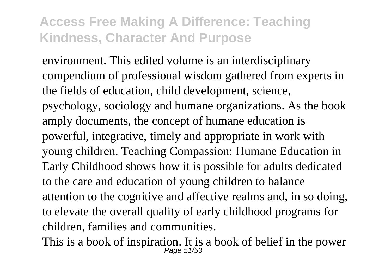environment. This edited volume is an interdisciplinary compendium of professional wisdom gathered from experts in the fields of education, child development, science, psychology, sociology and humane organizations. As the book amply documents, the concept of humane education is powerful, integrative, timely and appropriate in work with young children. Teaching Compassion: Humane Education in Early Childhood shows how it is possible for adults dedicated to the care and education of young children to balance attention to the cognitive and affective realms and, in so doing, to elevate the overall quality of early childhood programs for children, families and communities.

This is a book of inspiration. It is a book of belief in the power Page 51/53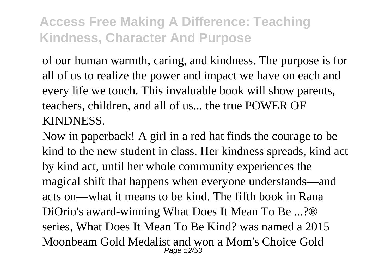of our human warmth, caring, and kindness. The purpose is for all of us to realize the power and impact we have on each and every life we touch. This invaluable book will show parents, teachers, children, and all of us... the true POWER OF KINDNESS.

Now in paperback! A girl in a red hat finds the courage to be kind to the new student in class. Her kindness spreads, kind act by kind act, until her whole community experiences the magical shift that happens when everyone understands—and acts on—what it means to be kind. The fifth book in Rana DiOrio's award-winning What Does It Mean To Be ...?® series, What Does It Mean To Be Kind? was named a 2015 Moonbeam Gold Medalist and won a Mom's Choice Gold Page 52/53